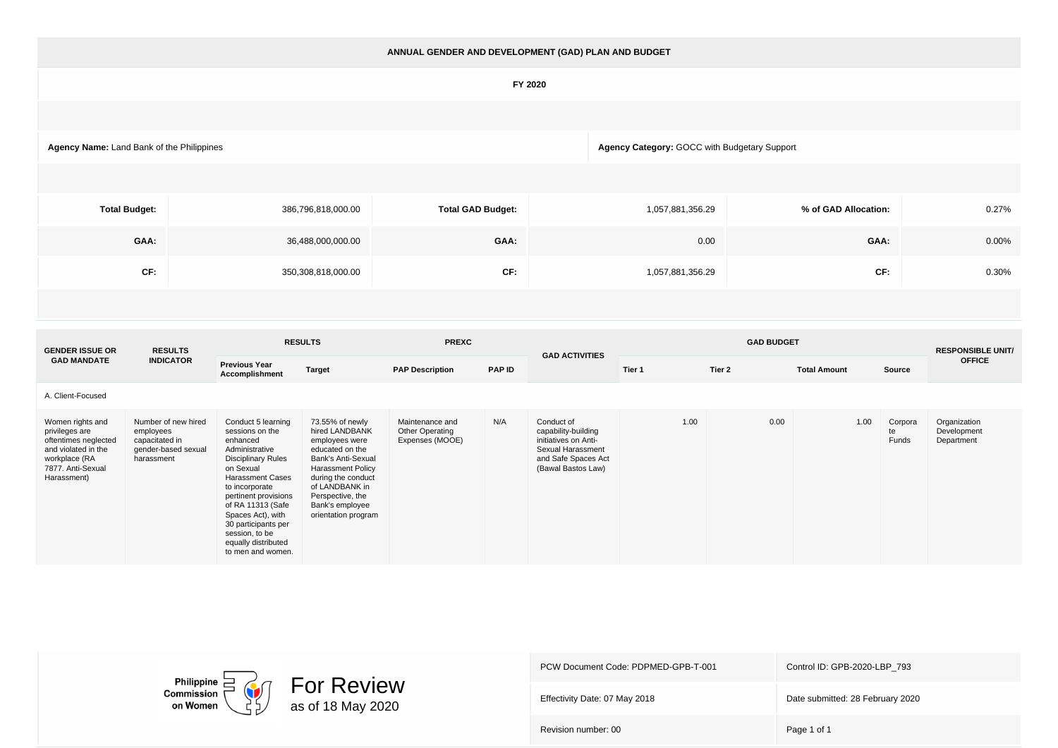## **ANNUAL GENDER AND DEVELOPMENT (GAD) PLAN AND BUDGET**

## **FY 2020**

**Agency Name:** Land Bank of the Philippines **Agency Category:** GOCC with Budgetary Support

| <b>Total Budget:</b> | 386,796,818,000.00 | <b>Total GAD Budget:</b> | 1,057,881,356.29 | % of GAD Allocation: | 0.27% |
|----------------------|--------------------|--------------------------|------------------|----------------------|-------|
| GAA:                 | 36,488,000,000.00  | GAA:                     | 0.00             | GAA:                 | 0.00% |
| CF:                  | 350,308,818,000.00 | CF:                      | 1,057,881,356.29 | CF:                  | 0.30% |

| <b>GENDER ISSUE OR</b>                                                                                                                 | <b>RESULTS</b>                                                                          | <b>RESULTS</b>                                                                                                                                                                                                                                                                                                    |                                                                                                                                                                                                                                | <b>PREXC</b>                                          |               | <b>GAD ACTIVITIES</b>                                                                                                       |        | <b>RESPONSIBLE UNIT/</b> |                     |                        |                                           |
|----------------------------------------------------------------------------------------------------------------------------------------|-----------------------------------------------------------------------------------------|-------------------------------------------------------------------------------------------------------------------------------------------------------------------------------------------------------------------------------------------------------------------------------------------------------------------|--------------------------------------------------------------------------------------------------------------------------------------------------------------------------------------------------------------------------------|-------------------------------------------------------|---------------|-----------------------------------------------------------------------------------------------------------------------------|--------|--------------------------|---------------------|------------------------|-------------------------------------------|
| <b>GAD MANDATE</b>                                                                                                                     | <b>INDICATOR</b>                                                                        | <b>Previous Year</b><br>Accomplishment                                                                                                                                                                                                                                                                            | <b>Target</b>                                                                                                                                                                                                                  | <b>PAP Description</b>                                | <b>PAP ID</b> |                                                                                                                             | Tier 1 | Tier 2                   | <b>Total Amount</b> | Source                 | <b>OFFICE</b>                             |
| A. Client-Focused                                                                                                                      |                                                                                         |                                                                                                                                                                                                                                                                                                                   |                                                                                                                                                                                                                                |                                                       |               |                                                                                                                             |        |                          |                     |                        |                                           |
| Women rights and<br>privileges are<br>oftentimes neglected<br>and violated in the<br>workplace (RA<br>7877, Anti-Sexual<br>Harassment) | Number of new hired<br>employees<br>capacitated in<br>gender-based sexual<br>harassment | Conduct 5 learning<br>sessions on the<br>enhanced<br>Administrative<br><b>Disciplinary Rules</b><br>on Sexual<br><b>Harassment Cases</b><br>to incorporate<br>pertinent provisions<br>of RA 11313 (Safe<br>Spaces Act), with<br>30 participants per<br>session, to be<br>equally distributed<br>to men and women. | 73.55% of newly<br>hired LANDBANK<br>employees were<br>educated on the<br>Bank's Anti-Sexual<br><b>Harassment Policy</b><br>during the conduct<br>of LANDBANK in<br>Perspective, the<br>Bank's employee<br>orientation program | Maintenance and<br>Other Operating<br>Expenses (MOOE) | N/A           | Conduct of<br>capability-building<br>initiatives on Anti-<br>Sexual Harassment<br>and Safe Spaces Act<br>(Bawal Bastos Law) | 1.00   | 0.00                     | 1.00                | Corpora<br>te<br>Funds | Organization<br>Development<br>Department |



PCW Document Code: PDPMED-GPB-T-001 Control ID: GPB-2020-LBP\_793 Effectivity Date: 07 May 2018 **Date submitted: 28 February 2020** Revision number: 00 Page 1 of 1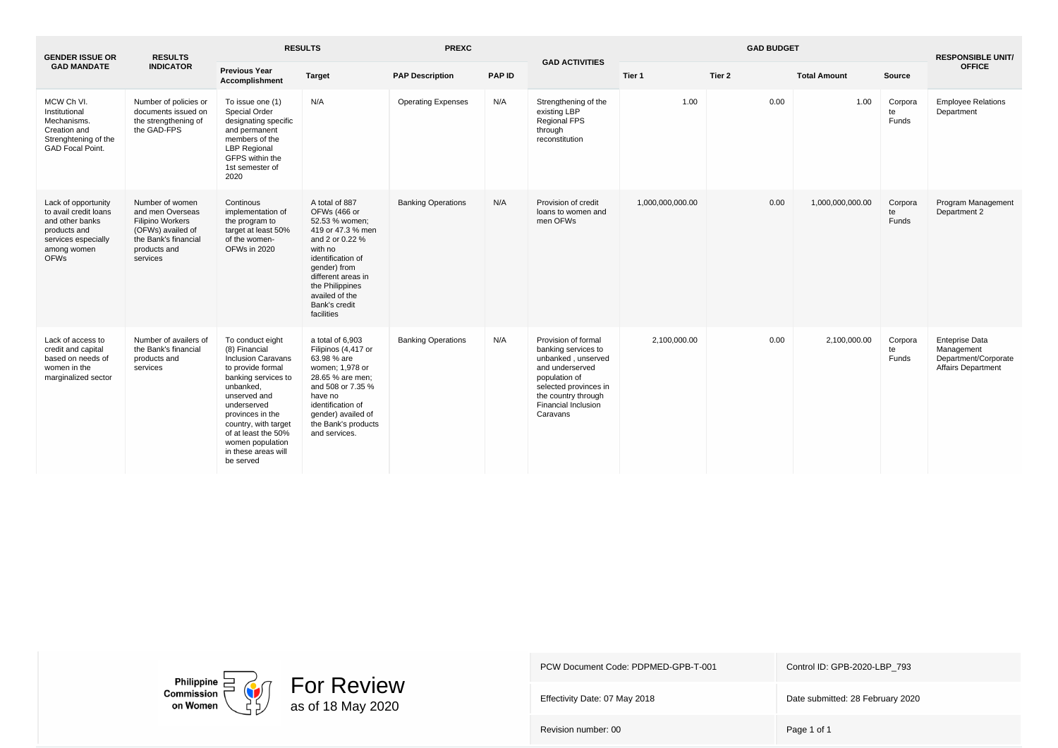| <b>GENDER ISSUE OR</b>                                                                                                               | <b>RESULTS</b>                                                                                                                          | <b>RESULTS</b>                                                                                                                                                                                                                                                                    |                                                                                                                                                                                                                                    | <b>PREXC</b>              |               | <b>GAD ACTIVITIES</b>                                                                                                                                                                          |                  | <b>RESPONSIBLE UNIT/</b> |                     |                        |                                                                                          |
|--------------------------------------------------------------------------------------------------------------------------------------|-----------------------------------------------------------------------------------------------------------------------------------------|-----------------------------------------------------------------------------------------------------------------------------------------------------------------------------------------------------------------------------------------------------------------------------------|------------------------------------------------------------------------------------------------------------------------------------------------------------------------------------------------------------------------------------|---------------------------|---------------|------------------------------------------------------------------------------------------------------------------------------------------------------------------------------------------------|------------------|--------------------------|---------------------|------------------------|------------------------------------------------------------------------------------------|
| <b>GAD MANDATE</b>                                                                                                                   | <b>INDICATOR</b>                                                                                                                        | <b>Previous Year</b><br>Accomplishment                                                                                                                                                                                                                                            | <b>Target</b>                                                                                                                                                                                                                      | <b>PAP Description</b>    | <b>PAP ID</b> |                                                                                                                                                                                                | Tier 1           | Tier 2                   | <b>Total Amount</b> | Source                 | <b>OFFICE</b>                                                                            |
| MCW Ch VI.<br>Institutional<br>Mechanisms.<br>Creation and<br>Strenghtening of the<br><b>GAD Focal Point.</b>                        | Number of policies or<br>documents issued on<br>the strengthening of<br>the GAD-FPS                                                     | To issue one (1)<br>Special Order<br>designating specific<br>and permanent<br>members of the<br><b>LBP Regional</b><br>GFPS within the<br>1st semester of<br>2020                                                                                                                 | N/A                                                                                                                                                                                                                                | <b>Operating Expenses</b> | N/A           | Strengthening of the<br>existing LBP<br><b>Regional FPS</b><br>through<br>reconstitution                                                                                                       | 1.00             | 0.00                     | 1.00                | Corpora<br>te<br>Funds | <b>Employee Relations</b><br>Department                                                  |
| Lack of opportunity<br>to avail credit loans<br>and other banks<br>products and<br>services especially<br>among women<br><b>OFWs</b> | Number of women<br>and men Overseas<br><b>Filipino Workers</b><br>(OFWs) availed of<br>the Bank's financial<br>products and<br>services | Continous<br>implementation of<br>the program to<br>target at least 50%<br>of the women-<br>OFWs in 2020                                                                                                                                                                          | A total of 887<br>OFWs (466 or<br>52.53 % women;<br>419 or 47.3 % men<br>and 2 or 0.22 %<br>with no<br>identification of<br>gender) from<br>different areas in<br>the Philippines<br>availed of the<br>Bank's credit<br>facilities | <b>Banking Operations</b> | N/A           | Provision of credit<br>loans to women and<br>men OFWs                                                                                                                                          | 1,000,000,000.00 | 0.00                     | 1,000,000,000.00    | Corpora<br>te<br>Funds | Program Management<br>Department 2                                                       |
| Lack of access to<br>credit and capital<br>based on needs of<br>women in the<br>marginalized sector                                  | Number of availers of<br>the Bank's financial<br>products and<br>services                                                               | To conduct eight<br>(8) Financial<br><b>Inclusion Caravans</b><br>to provide formal<br>banking services to<br>unbanked.<br>unserved and<br>underserved<br>provinces in the<br>country, with target<br>of at least the 50%<br>women population<br>in these areas will<br>be served | a total of 6.903<br>Filipinos (4,417 or<br>63.98 % are<br>women; 1,978 or<br>28.65 % are men:<br>and 508 or 7.35 %<br>have no<br>identification of<br>gender) availed of<br>the Bank's products<br>and services.                   | <b>Banking Operations</b> | N/A           | Provision of formal<br>banking services to<br>unbanked, unserved<br>and underserved<br>population of<br>selected provinces in<br>the country through<br><b>Financial Inclusion</b><br>Caravans | 2,100,000.00     | 0.00                     | 2,100,000.00        | Corpora<br>te<br>Funds | <b>Enteprise Data</b><br>Management<br>Department/Corporate<br><b>Affairs Department</b> |



PCW Document Code: PDPMED-GPB-T-001 Control ID: GPB-2020-LBP\_793

Effectivity Date: 07 May 2018 Date submitted: 28 February 2020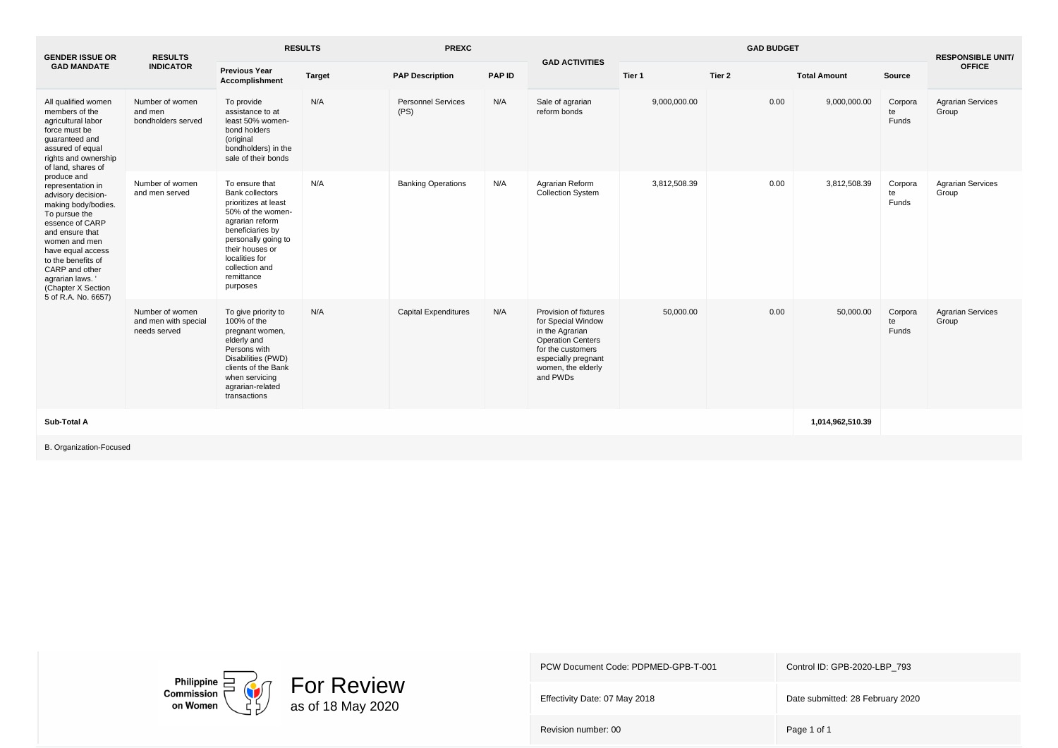| <b>GENDER ISSUE OR</b>                                                                                                                                                                                                                                                                                                                                                                                                                                | <b>RESULTS</b>                                          | <b>RESULTS</b><br><b>PREXC</b>                                                                                                                                                                                                       |               |                                   | <b>GAD ACTIVITIES</b> |                                                                                                                                                                          | <b>GAD BUDGET</b> |        | <b>RESPONSIBLE UNIT/</b> |                        |                                   |
|-------------------------------------------------------------------------------------------------------------------------------------------------------------------------------------------------------------------------------------------------------------------------------------------------------------------------------------------------------------------------------------------------------------------------------------------------------|---------------------------------------------------------|--------------------------------------------------------------------------------------------------------------------------------------------------------------------------------------------------------------------------------------|---------------|-----------------------------------|-----------------------|--------------------------------------------------------------------------------------------------------------------------------------------------------------------------|-------------------|--------|--------------------------|------------------------|-----------------------------------|
| <b>GAD MANDATE</b>                                                                                                                                                                                                                                                                                                                                                                                                                                    | <b>INDICATOR</b>                                        | <b>Previous Year</b><br>Accomplishment                                                                                                                                                                                               | <b>Target</b> | <b>PAP Description</b>            | <b>PAP ID</b>         |                                                                                                                                                                          | Tier 1            | Tier 2 | <b>Total Amount</b>      | Source                 | <b>OFFICE</b>                     |
| All qualified women<br>members of the<br>agricultural labor<br>force must be<br>quaranteed and<br>assured of equal<br>rights and ownership<br>of land, shares of<br>produce and<br>representation in<br>advisory decision-<br>making body/bodies.<br>To pursue the<br>essence of CARP<br>and ensure that<br>women and men<br>have equal access<br>to the benefits of<br>CARP and other<br>agrarian laws.<br>(Chapter X Section<br>5 of R.A. No. 6657) | Number of women<br>and men<br>bondholders served        | To provide<br>assistance to at<br>least 50% women-<br>bond holders<br>(original<br>bondholders) in the<br>sale of their bonds                                                                                                        | N/A           | <b>Personnel Services</b><br>(PS) | N/A                   | Sale of agrarian<br>reform bonds                                                                                                                                         | 9,000,000.00      | 0.00   | 9,000,000.00             | Corpora<br>te<br>Funds | <b>Agrarian Services</b><br>Group |
|                                                                                                                                                                                                                                                                                                                                                                                                                                                       | Number of women<br>and men served                       | To ensure that<br><b>Bank collectors</b><br>prioritizes at least<br>50% of the women-<br>agrarian reform<br>beneficiaries by<br>personally going to<br>their houses or<br>localities for<br>collection and<br>remittance<br>purposes | N/A           | <b>Banking Operations</b>         | N/A                   | Agrarian Reform<br><b>Collection System</b>                                                                                                                              | 3,812,508.39      | 0.00   | 3,812,508.39             | Corpora<br>te<br>Funds | <b>Agrarian Services</b><br>Group |
|                                                                                                                                                                                                                                                                                                                                                                                                                                                       | Number of women<br>and men with special<br>needs served | To give priority to<br>100% of the<br>pregnant women,<br>elderly and<br>Persons with<br>Disabilities (PWD)<br>clients of the Bank<br>when servicing<br>agrarian-related<br>transactions                                              | N/A           | <b>Capital Expenditures</b>       | N/A                   | Provision of fixtures<br>for Special Window<br>in the Agrarian<br><b>Operation Centers</b><br>for the customers<br>especially pregnant<br>women, the elderly<br>and PWDs | 50,000.00         | 0.00   | 50,000.00                | Corpora<br>te<br>Funds | <b>Agrarian Services</b><br>Group |
| Sub-Total A                                                                                                                                                                                                                                                                                                                                                                                                                                           |                                                         |                                                                                                                                                                                                                                      |               |                                   |                       |                                                                                                                                                                          |                   |        | 1,014,962,510.39         |                        |                                   |

B. Organization-Focused



PCW Document Code: PDPMED-GPB-T-001 Control ID: GPB-2020-LBP\_793

Effectivity Date: 07 May 2018 Date submitted: 28 February 2020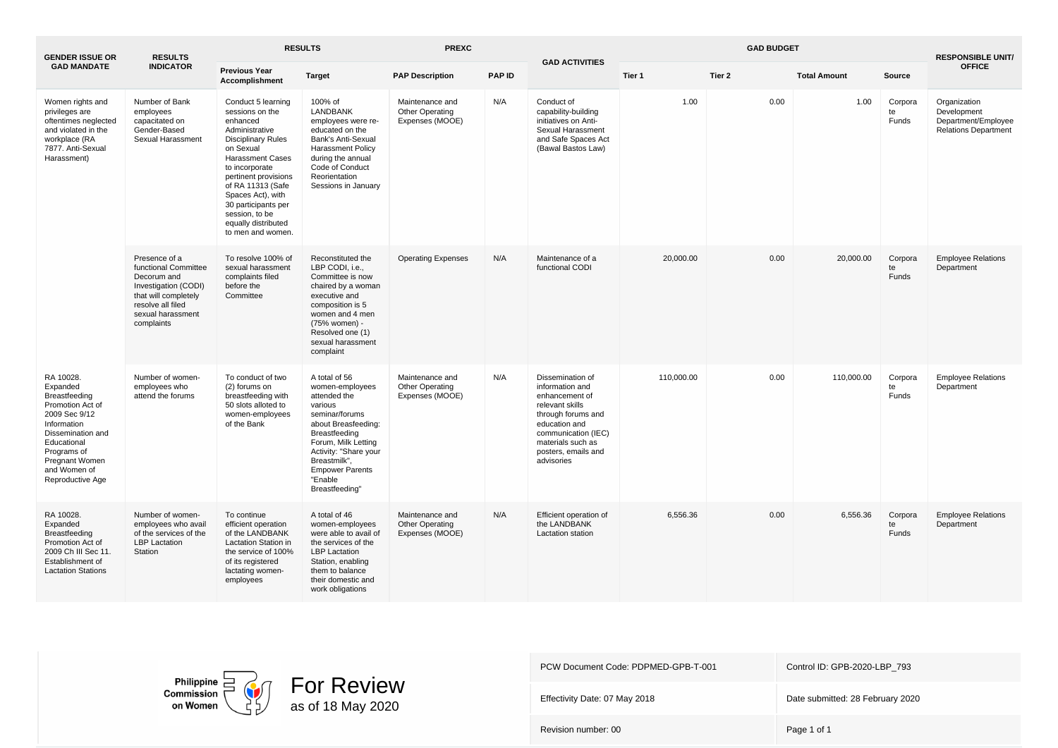| <b>GENDER ISSUE OR</b>                                                                                                                                                                                     | <b>RESULTS</b>                                                                                                                                               | <b>RESULTS</b>                                                                                                                                                                                                                                                                                                    |                                                                                                                                                                                                                                              | <b>PREXC</b>                                          |               | <b>GAD ACTIVITIES</b>                                                                                                                                                                            |            | <b>RESPONSIBLE UNIT/</b> |                     |                               |                                                                                   |
|------------------------------------------------------------------------------------------------------------------------------------------------------------------------------------------------------------|--------------------------------------------------------------------------------------------------------------------------------------------------------------|-------------------------------------------------------------------------------------------------------------------------------------------------------------------------------------------------------------------------------------------------------------------------------------------------------------------|----------------------------------------------------------------------------------------------------------------------------------------------------------------------------------------------------------------------------------------------|-------------------------------------------------------|---------------|--------------------------------------------------------------------------------------------------------------------------------------------------------------------------------------------------|------------|--------------------------|---------------------|-------------------------------|-----------------------------------------------------------------------------------|
| <b>GAD MANDATE</b>                                                                                                                                                                                         | <b>INDICATOR</b>                                                                                                                                             | <b>Previous Year</b><br>Accomplishment                                                                                                                                                                                                                                                                            | <b>Target</b>                                                                                                                                                                                                                                | <b>PAP Description</b>                                | <b>PAP ID</b> |                                                                                                                                                                                                  | Tier 1     | Tier 2                   | <b>Total Amount</b> | Source                        | <b>OFFICE</b>                                                                     |
| Women rights and<br>privileges are<br>oftentimes neglected<br>and violated in the<br>workplace (RA<br>7877. Anti-Sexual<br>Harassment)                                                                     | Number of Bank<br>employees<br>capacitated on<br>Gender-Based<br>Sexual Harassment                                                                           | Conduct 5 learning<br>sessions on the<br>enhanced<br>Administrative<br><b>Disciplinary Rules</b><br>on Sexual<br><b>Harassment Cases</b><br>to incorporate<br>pertinent provisions<br>of RA 11313 (Safe<br>Spaces Act), with<br>30 participants per<br>session, to be<br>equally distributed<br>to men and women. | 100% of<br><b>LANDBANK</b><br>employees were re-<br>educated on the<br>Bank's Anti-Sexual<br><b>Harassment Policy</b><br>during the annual<br>Code of Conduct<br>Reorientation<br>Sessions in January                                        | Maintenance and<br>Other Operating<br>Expenses (MOOE) | N/A           | Conduct of<br>capability-building<br>initiatives on Anti-<br>Sexual Harassment<br>and Safe Spaces Act<br>(Bawal Bastos Law)                                                                      | 1.00       | 0.00                     | 1.00                | Corpora<br>te<br>Funds        | Organization<br>Development<br>Department/Employee<br><b>Relations Department</b> |
|                                                                                                                                                                                                            | Presence of a<br>functional Committee<br>Decorum and<br>Investigation (CODI)<br>that will completely<br>resolve all filed<br>sexual harassment<br>complaints | To resolve 100% of<br>sexual harassment<br>complaints filed<br>before the<br>Committee                                                                                                                                                                                                                            | Reconstituted the<br>LBP CODI, i.e.,<br>Committee is now<br>chaired by a woman<br>executive and<br>composition is 5<br>women and 4 men<br>(75% women) -<br>Resolved one (1)<br>sexual harassment<br>complaint                                | <b>Operating Expenses</b>                             | N/A           | Maintenance of a<br>functional CODI                                                                                                                                                              | 20,000.00  | 0.00                     | 20,000.00           | Corpora<br>te<br>Funds        | <b>Employee Relations</b><br>Department                                           |
| RA 10028.<br>Expanded<br>Breastfeeding<br>Promotion Act of<br>2009 Sec 9/12<br>Information<br>Dissemination and<br>Educational<br>Programs of<br><b>Pregnant Women</b><br>and Women of<br>Reproductive Age | Number of women-<br>employees who<br>attend the forums                                                                                                       | To conduct of two<br>(2) forums on<br>breastfeeding with<br>50 slots alloted to<br>women-employees<br>of the Bank                                                                                                                                                                                                 | A total of 56<br>women-employees<br>attended the<br>various<br>seminar/forums<br>about Breasfeeding:<br>Breastfeeding<br>Forum, Milk Letting<br>Activity: "Share your<br>Breastmilk",<br><b>Empower Parents</b><br>"Enable<br>Breastfeeding" | Maintenance and<br>Other Operating<br>Expenses (MOOE) | N/A           | Dissemination of<br>information and<br>enhancement of<br>relevant skills<br>through forums and<br>education and<br>communication (IEC)<br>materials such as<br>posters, emails and<br>advisories | 110,000.00 | 0.00                     | 110,000.00          | Corpora<br>te<br>Funds        | <b>Employee Relations</b><br>Department                                           |
| RA 10028.<br>Expanded<br>Breastfeeding<br>Promotion Act of<br>2009 Ch III Sec 11.<br>Establishment of<br><b>Lactation Stations</b>                                                                         | Number of women-<br>employees who avail<br>of the services of the<br><b>LBP</b> Lactation<br>Station                                                         | To continue<br>efficient operation<br>of the LANDBANK<br><b>Lactation Station in</b><br>the service of 100%<br>of its registered<br>lactating women-<br>employees                                                                                                                                                 | A total of 46<br>women-employees<br>were able to avail of<br>the services of the<br><b>LBP</b> Lactation<br>Station, enabling<br>them to balance<br>their domestic and<br>work obligations                                                   | Maintenance and<br>Other Operating<br>Expenses (MOOE) | N/A           | Efficient operation of<br>the LANDBANK<br>Lactation station                                                                                                                                      | 6.556.36   | 0.00                     | 6,556.36            | Corpora<br>te<br><b>Funds</b> | <b>Employee Relations</b><br>Department                                           |



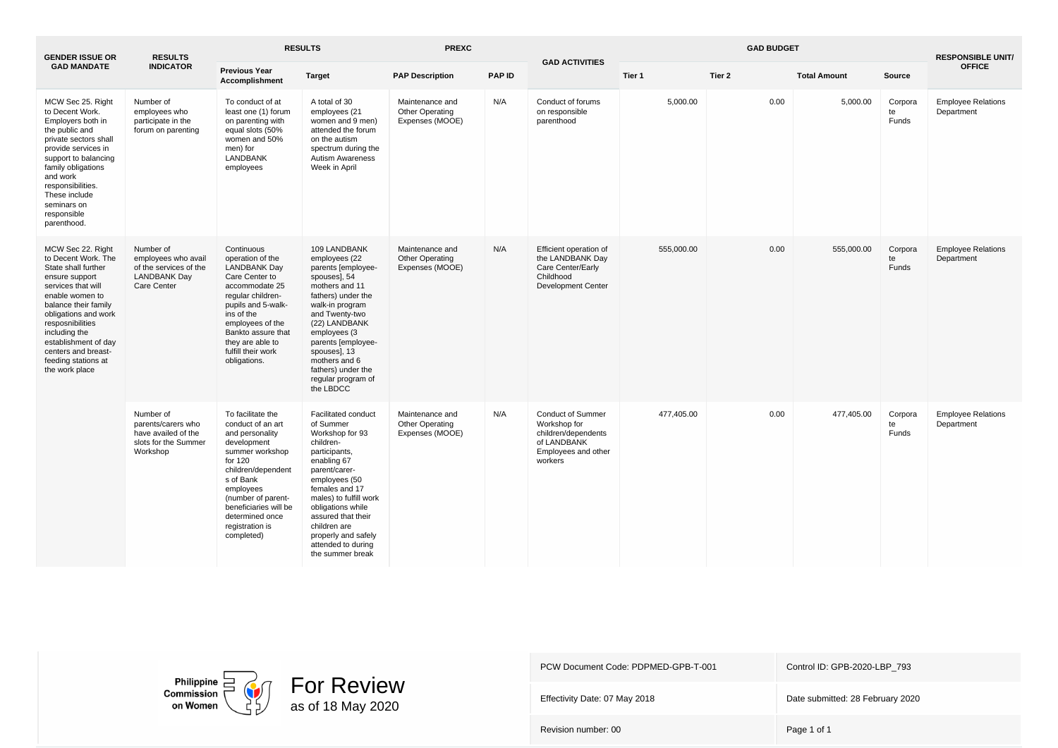| <b>GENDER ISSUE OR</b>                                                                                                                                                                                                                                                                                  | <b>RESULTS</b>                                                                                   | <b>RESULTS</b>                                                                                                                                                                                                                                            |                                                                                                                                                                                                                                                                                                                   | <b>PREXC</b>                                          |               | <b>GAD ACTIVITIES</b>                                                                                            |            | <b>RESPONSIBLE UNIT/</b> |                     |                        |                                         |
|---------------------------------------------------------------------------------------------------------------------------------------------------------------------------------------------------------------------------------------------------------------------------------------------------------|--------------------------------------------------------------------------------------------------|-----------------------------------------------------------------------------------------------------------------------------------------------------------------------------------------------------------------------------------------------------------|-------------------------------------------------------------------------------------------------------------------------------------------------------------------------------------------------------------------------------------------------------------------------------------------------------------------|-------------------------------------------------------|---------------|------------------------------------------------------------------------------------------------------------------|------------|--------------------------|---------------------|------------------------|-----------------------------------------|
| <b>GAD MANDATE</b>                                                                                                                                                                                                                                                                                      | <b>INDICATOR</b>                                                                                 | <b>Previous Year</b><br>Accomplishment                                                                                                                                                                                                                    | <b>Target</b>                                                                                                                                                                                                                                                                                                     | <b>PAP Description</b>                                | <b>PAP ID</b> |                                                                                                                  | Tier 1     | Tier 2                   | <b>Total Amount</b> | Source                 | <b>OFFICE</b>                           |
| MCW Sec 25. Right<br>to Decent Work.<br>Employers both in<br>the public and<br>private sectors shall<br>provide services in<br>support to balancing<br>family obligations<br>and work<br>responsibilities.<br>These include<br>seminars on<br>responsible<br>parenthood.                                | Number of<br>employees who<br>participate in the<br>forum on parenting                           | To conduct of at<br>least one (1) forum<br>on parenting with<br>equal slots (50%<br>women and 50%<br>men) for<br><b>LANDBANK</b><br>employees                                                                                                             | A total of 30<br>employees (21<br>women and 9 men)<br>attended the forum<br>on the autism<br>spectrum during the<br><b>Autism Awareness</b><br>Week in April                                                                                                                                                      | Maintenance and<br>Other Operating<br>Expenses (MOOE) | N/A           | Conduct of forums<br>on responsible<br>parenthood                                                                | 5,000.00   | 0.00                     | 5.000.00            | Corpora<br>te<br>Funds | <b>Employee Relations</b><br>Department |
| MCW Sec 22. Right<br>to Decent Work. The<br>State shall further<br>ensure support<br>services that will<br>enable women to<br>balance their family<br>obligations and work<br>resposnibilities<br>including the<br>establishment of day<br>centers and breast-<br>feeding stations at<br>the work place | Number of<br>employees who avail<br>of the services of the<br><b>LANDBANK Day</b><br>Care Center | Continuous<br>operation of the<br><b>LANDBANK Day</b><br>Care Center to<br>accommodate 25<br>reqular children-<br>pupils and 5-walk-<br>ins of the<br>employees of the<br>Bankto assure that<br>they are able to<br>fulfill their work<br>obligations.    | 109 LANDBANK<br>employees (22<br>parents [employee-<br>spouses], 54<br>mothers and 11<br>fathers) under the<br>walk-in program<br>and Twenty-two<br>(22) LANDBANK<br>employees (3<br>parents [employee-<br>spouses], 13<br>mothers and 6<br>fathers) under the<br>regular program of<br>the LBDCC                 | Maintenance and<br>Other Operating<br>Expenses (MOOE) | N/A           | Efficient operation of<br>the LANDBANK Day<br>Care Center/Early<br>Childhood<br><b>Development Center</b>        | 555,000.00 | 0.00                     | 555,000.00          | Corpora<br>te<br>Funds | <b>Employee Relations</b><br>Department |
|                                                                                                                                                                                                                                                                                                         | Number of<br>parents/carers who<br>have availed of the<br>slots for the Summer<br>Workshop       | To facilitate the<br>conduct of an art<br>and personality<br>development<br>summer workshop<br>for 120<br>children/dependent<br>s of Bank<br>employees<br>(number of parent-<br>beneficiaries will be<br>determined once<br>registration is<br>completed) | <b>Facilitated conduct</b><br>of Summer<br>Workshop for 93<br>children-<br>participants,<br>enabling 67<br>parent/carer-<br>employees (50<br>females and 17<br>males) to fulfill work<br>obligations while<br>assured that their<br>children are<br>properly and safely<br>attended to during<br>the summer break | Maintenance and<br>Other Operating<br>Expenses (MOOE) | N/A           | <b>Conduct of Summer</b><br>Workshop for<br>children/dependents<br>of LANDBANK<br>Employees and other<br>workers | 477,405.00 | 0.00                     | 477,405.00          | Corpora<br>te<br>Funds | <b>Employee Relations</b><br>Department |





PCW Document Code: PDPMED-GPB-T-001 Control ID: GPB-2020-LBP\_793

Effectivity Date: 07 May 2018 Date submitted: 28 February 2020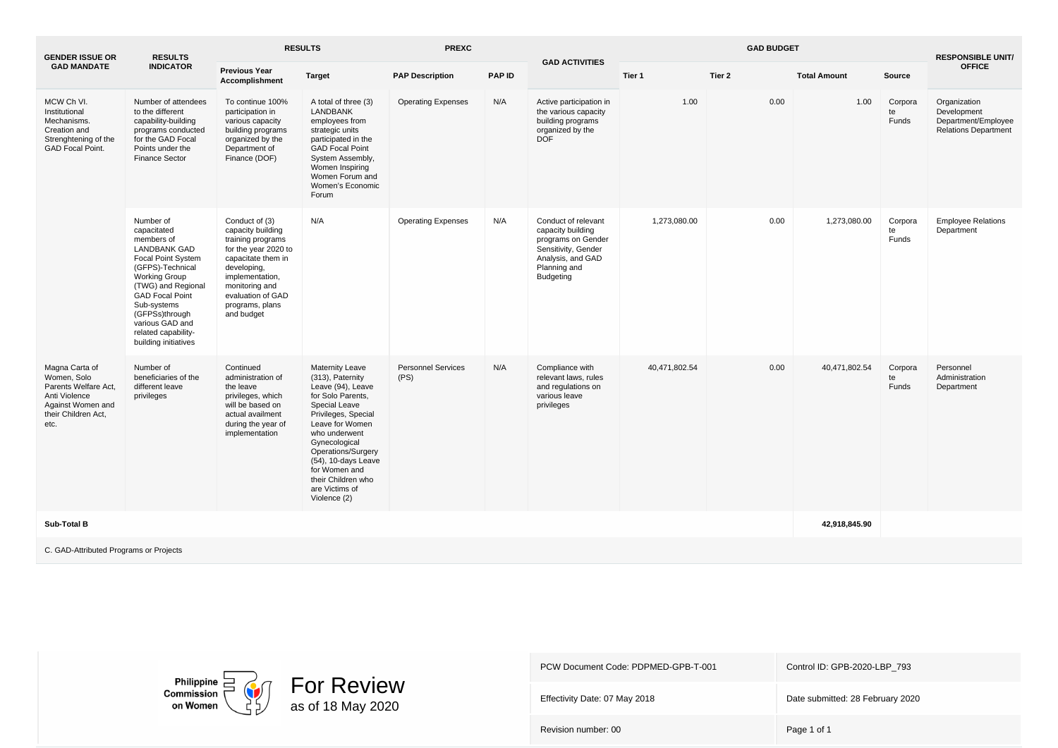| <b>GENDER ISSUE OR</b>                                                                                        | <b>RESULTS</b><br><b>INDICATOR</b>                                                                                                                                                                                                                                                        | <b>RESULTS</b>                                                                                                                                                                                                   |                                                                                                                                                                                                                                                                                                         | <b>PREXC</b>                      |               |                                                                                                                                                |               | <b>RESPONSIBLE UNIT/</b> |                     |                        |                                                                                   |
|---------------------------------------------------------------------------------------------------------------|-------------------------------------------------------------------------------------------------------------------------------------------------------------------------------------------------------------------------------------------------------------------------------------------|------------------------------------------------------------------------------------------------------------------------------------------------------------------------------------------------------------------|---------------------------------------------------------------------------------------------------------------------------------------------------------------------------------------------------------------------------------------------------------------------------------------------------------|-----------------------------------|---------------|------------------------------------------------------------------------------------------------------------------------------------------------|---------------|--------------------------|---------------------|------------------------|-----------------------------------------------------------------------------------|
| <b>GAD MANDATE</b>                                                                                            |                                                                                                                                                                                                                                                                                           | <b>Previous Year</b><br><b>Accomplishment</b>                                                                                                                                                                    | <b>Target</b>                                                                                                                                                                                                                                                                                           | <b>PAP Description</b>            | <b>PAP ID</b> | <b>GAD ACTIVITIES</b>                                                                                                                          | Tier 1        | Tier 2                   | <b>Total Amount</b> | Source                 | <b>OFFICE</b>                                                                     |
| MCW Ch VI.<br>Institutional<br>Mechanisms.<br>Creation and<br>Strenghtening of the<br><b>GAD Focal Point.</b> | Number of attendees<br>to the different<br>capability-building<br>programs conducted<br>for the GAD Focal<br>Points under the<br>Finance Sector                                                                                                                                           | To continue 100%<br>participation in<br>various capacity<br>building programs<br>organized by the<br>Department of<br>Finance (DOF)                                                                              | A total of three (3)<br><b>LANDBANK</b><br>employees from<br>strategic units<br>participated in the<br><b>GAD Focal Point</b><br>System Assembly,<br>Women Inspiring<br>Women Forum and<br>Women's Economic<br>Forum                                                                                    | <b>Operating Expenses</b>         | N/A           | Active participation in<br>the various capacity<br>building programs<br>organized by the<br><b>DOF</b>                                         | 1.00          | 0.00                     | 1.00                | Corpora<br>te<br>Funds | Organization<br>Development<br>Department/Employee<br><b>Relations Department</b> |
| Magna Carta of                                                                                                | Number of<br>capacitated<br>members of<br><b>LANDBANK GAD</b><br><b>Focal Point System</b><br>(GFPS)-Technical<br><b>Working Group</b><br>(TWG) and Regional<br><b>GAD Focal Point</b><br>Sub-systems<br>(GFPSs)through<br>various GAD and<br>related capability-<br>building initiatives | Conduct of (3)<br>capacity building<br>training programs<br>for the year 2020 to<br>capacitate them in<br>developing,<br>implementation,<br>monitoring and<br>evaluation of GAD<br>programs, plans<br>and budget | N/A                                                                                                                                                                                                                                                                                                     | <b>Operating Expenses</b>         | N/A           | Conduct of relevant<br>capacity building<br>programs on Gender<br>Sensitivity, Gender<br>Analysis, and GAD<br>Planning and<br><b>Budgeting</b> | 1,273,080.00  | 0.00                     | 1,273,080.00        | Corpora<br>te<br>Funds | <b>Employee Relations</b><br>Department                                           |
| Women, Solo<br>Parents Welfare Act,<br>Anti Violence<br>Against Women and<br>their Children Act,<br>etc.      | Number of<br>beneficiaries of the<br>different leave<br>privileges                                                                                                                                                                                                                        | Continued<br>administration of<br>the leave<br>privileges, which<br>will be based on<br>actual availment<br>during the year of<br>implementation                                                                 | <b>Maternity Leave</b><br>(313), Paternity<br>Leave (94), Leave<br>for Solo Parents,<br>Special Leave<br>Privileges, Special<br>Leave for Women<br>who underwent<br>Gynecological<br>Operations/Surgery<br>(54), 10-days Leave<br>for Women and<br>their Children who<br>are Victims of<br>Violence (2) | <b>Personnel Services</b><br>(PS) | N/A           | Compliance with<br>relevant laws, rules<br>and regulations on<br>various leave<br>privileges                                                   | 40,471,802.54 | 0.00                     | 40,471,802.54       | Corpora<br>te<br>Funds | Personnel<br>Administration<br>Department                                         |
| Sub-Total B                                                                                                   |                                                                                                                                                                                                                                                                                           |                                                                                                                                                                                                                  |                                                                                                                                                                                                                                                                                                         |                                   |               |                                                                                                                                                |               |                          | 42,918,845.90       |                        |                                                                                   |
| C. GAD-Attributed Programs or Projects                                                                        |                                                                                                                                                                                                                                                                                           |                                                                                                                                                                                                                  |                                                                                                                                                                                                                                                                                                         |                                   |               |                                                                                                                                                |               |                          |                     |                        |                                                                                   |



| PCW Document Code: PDPMED-GPB-T-001 | Control ID: GPB-2020-LBP 793     |
|-------------------------------------|----------------------------------|
| Effectivity Date: 07 May 2018       | Date submitted: 28 February 2020 |
| Revision number: 00                 | Page 1 of 1                      |